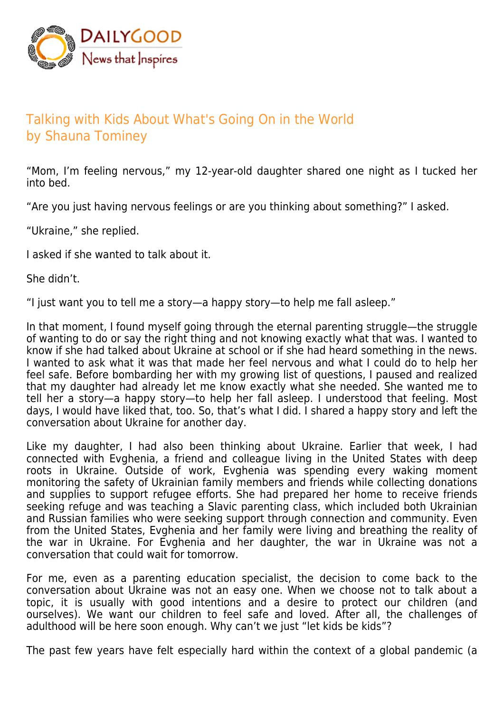

## Talking with Kids About What's Going On in the World by Shauna Tominey

"Mom, I'm feeling nervous," my 12-year-old daughter shared one night as I tucked her into bed.

"Are you just having nervous feelings or are you thinking about something?" I asked.

"Ukraine," she replied.

I asked if she wanted to talk about it.

She didn't.

"I just want you to tell me a story—a happy story—to help me fall asleep."

In that moment, I found myself going through the eternal parenting struggle—the struggle of wanting to do or say the right thing and not knowing exactly what that was. I wanted to know if she had talked about Ukraine at school or if she had heard something in the news. I wanted to ask what it was that made her feel nervous and what I could do to help her feel safe. Before bombarding her with my growing list of questions, I paused and realized that my daughter had already let me know exactly what she needed. She wanted me to tell her a story—a happy story—to help her fall asleep. I understood that feeling. Most days, I would have liked that, too. So, that's what I did. I shared a happy story and left the conversation about Ukraine for another day.

Like my daughter, I had also been thinking about Ukraine. Earlier that week, I had connected with Evghenia, a friend and colleague living in the United States with deep roots in Ukraine. Outside of work, Evghenia was spending every waking moment monitoring the safety of Ukrainian family members and friends while collecting donations and supplies to support refugee efforts. She had prepared her home to receive friends seeking refuge and was teaching a Slavic parenting class, which included both Ukrainian and Russian families who were seeking support through connection and community. Even from the United States, Evghenia and her family were living and breathing the reality of the war in Ukraine. For Evghenia and her daughter, the war in Ukraine was not a conversation that could wait for tomorrow.

For me, even as a parenting education specialist, the decision to come back to the conversation about Ukraine was not an easy one. When we choose not to talk about a topic, it is usually with good intentions and a desire to protect our children (and ourselves). We want our children to feel safe and loved. After all, the challenges of adulthood will be here soon enough. Why can't we just "let kids be kids"?

The past few years have felt especially hard within the context of a global pandemic (a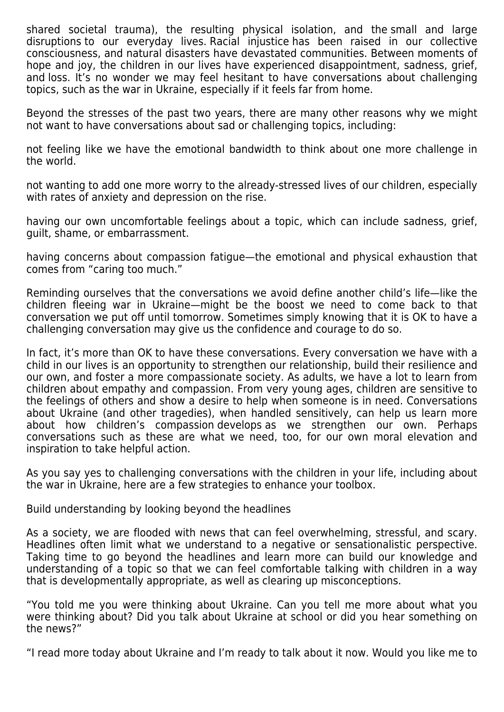shared societal trauma), the resulting physical isolation, and the small and large disruptions to our everyday lives. Racial injustice has been raised in our collective consciousness, and natural disasters have devastated communities. Between moments of hope and joy, the children in our lives have experienced disappointment, sadness, grief, and loss. It's no wonder we may feel hesitant to have conversations about challenging topics, such as the war in Ukraine, especially if it feels far from home.

Beyond the stresses of the past two years, there are many other reasons why we might not want to have conversations about sad or challenging topics, including:

not feeling like we have the emotional bandwidth to think about one more challenge in the world.

not wanting to add one more worry to the already-stressed lives of our children, especially with rates of anxiety and depression on the rise.

having our own uncomfortable feelings about a topic, which can include sadness, grief, guilt, shame, or embarrassment.

having concerns about compassion fatigue—the emotional and physical exhaustion that comes from "caring too much."

Reminding ourselves that the conversations we avoid define another child's life—like the children fleeing war in Ukraine—might be the boost we need to come back to that conversation we put off until tomorrow. Sometimes simply knowing that it is OK to have a challenging conversation may give us the confidence and courage to do so.

In fact, it's more than OK to have these conversations. Every conversation we have with a child in our lives is an opportunity to strengthen our relationship, build their resilience and our own, and foster a more compassionate society. As adults, we have a lot to learn from children about empathy and compassion. From very young ages, children are sensitive to the feelings of others and show a desire to help when someone is in need. Conversations about Ukraine (and other tragedies), when handled sensitively, can help us learn more about how children's compassion develops as we strengthen our own. Perhaps conversations such as these are what we need, too, for our own moral elevation and inspiration to take helpful action.

As you say yes to challenging conversations with the children in your life, including about the war in Ukraine, here are a few strategies to enhance your toolbox.

Build understanding by looking beyond the headlines

As a society, we are flooded with news that can feel overwhelming, stressful, and scary. Headlines often limit what we understand to a negative or sensationalistic perspective. Taking time to go beyond the headlines and learn more can build our knowledge and understanding of a topic so that we can feel comfortable talking with children in a way that is developmentally appropriate, as well as clearing up misconceptions.

"You told me you were thinking about Ukraine. Can you tell me more about what you were thinking about? Did you talk about Ukraine at school or did you hear something on the news?"

"I read more today about Ukraine and I'm ready to talk about it now. Would you like me to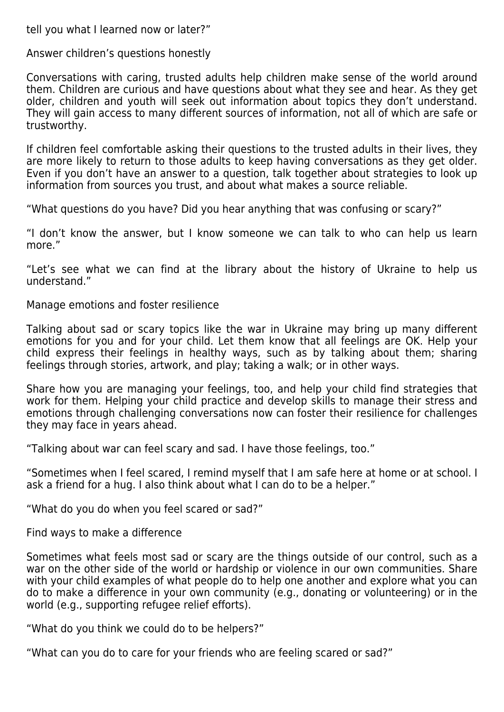tell you what I learned now or later?"

Answer children's questions honestly

Conversations with caring, trusted adults help children make sense of the world around them. Children are curious and have questions about what they see and hear. As they get older, children and youth will seek out information about topics they don't understand. They will gain access to many different sources of information, not all of which are safe or trustworthy.

If children feel comfortable asking their questions to the trusted adults in their lives, they are more likely to return to those adults to keep having conversations as they get older. Even if you don't have an answer to a question, talk together about strategies to look up information from sources you trust, and about what makes a source reliable.

"What questions do you have? Did you hear anything that was confusing or scary?"

"I don't know the answer, but I know someone we can talk to who can help us learn more."

"Let's see what we can find at the library about the history of Ukraine to help us understand."

Manage emotions and foster resilience

Talking about sad or scary topics like the war in Ukraine may bring up many different emotions for you and for your child. Let them know that all feelings are OK. Help your child express their feelings in healthy ways, such as by talking about them; sharing feelings through stories, artwork, and play; taking a walk; or in other ways.

Share how you are managing your feelings, too, and help your child find strategies that work for them. Helping your child practice and develop skills to manage their stress and emotions through challenging conversations now can foster their resilience for challenges they may face in years ahead.

"Talking about war can feel scary and sad. I have those feelings, too."

"Sometimes when I feel scared, I remind myself that I am safe here at home or at school. I ask a friend for a hug. I also think about what I can do to be a helper."

"What do you do when you feel scared or sad?"

Find ways to make a difference

Sometimes what feels most sad or scary are the things outside of our control, such as a war on the other side of the world or hardship or violence in our own communities. Share with your child examples of what people do to help one another and explore what you can do to make a difference in your own community (e.g., donating or volunteering) or in the world (e.g., supporting refugee relief efforts).

"What do you think we could do to be helpers?"

"What can you do to care for your friends who are feeling scared or sad?"